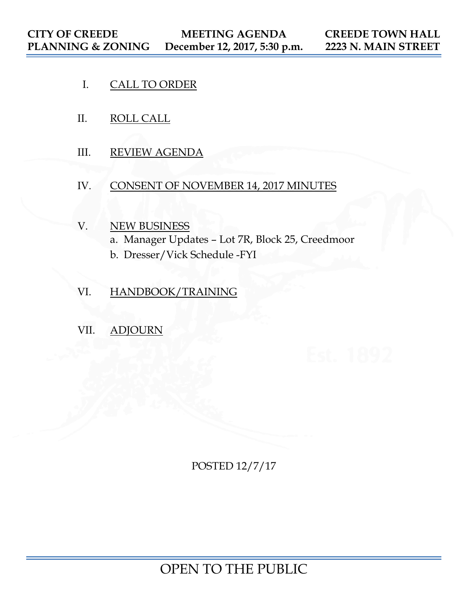- I. CALL TO ORDER
- II. ROLL CALL
- III. REVIEW AGENDA
- IV. CONSENT OF NOVEMBER 14, 2017 MINUTES
- V. NEW BUSINESS
	- a. Manager Updates Lot 7R, Block 25, Creedmoor
	- b. Dresser/Vick Schedule -FYI
- VI. HANDBOOK/TRAINING
- VII. ADJOURN

POSTED 12/7/17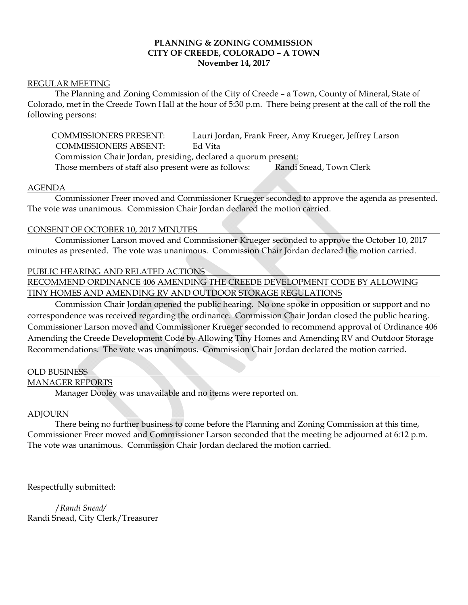# **PLANNING & ZONING COMMISSION CITY OF CREEDE, COLORADO – A TOWN November 14, 2017**

## REGULAR MEETING

 The Planning and Zoning Commission of the City of Creede – a Town, County of Mineral, State of Colorado, met in the Creede Town Hall at the hour of 5:30 p.m. There being present at the call of the roll the following persons:

 COMMISSIONERS PRESENT: Lauri Jordan, Frank Freer, Amy Krueger, Jeffrey Larson COMMISSIONERS ABSENT: Ed Vita Commission Chair Jordan, presiding, declared a quorum present: Those members of staff also present were as follows: Randi Snead, Town Clerk

#### AGENDA

 Commissioner Freer moved and Commissioner Krueger seconded to approve the agenda as presented. The vote was unanimous. Commission Chair Jordan declared the motion carried.

#### CONSENT OF OCTOBER 10, 2017 MINUTES

 Commissioner Larson moved and Commissioner Krueger seconded to approve the October 10, 2017 minutes as presented. The vote was unanimous. Commission Chair Jordan declared the motion carried.

## PUBLIC HEARING AND RELATED ACTIONS

RECOMMEND ORDINANCE 406 AMENDING THE CREEDE DEVELOPMENT CODE BY ALLOWING TINY HOMES AND AMENDING RV AND OUTDOOR STORAGE REGULATIONS

 Commission Chair Jordan opened the public hearing. No one spoke in opposition or support and no correspondence was received regarding the ordinance. Commission Chair Jordan closed the public hearing. Commissioner Larson moved and Commissioner Krueger seconded to recommend approval of Ordinance 406 Amending the Creede Development Code by Allowing Tiny Homes and Amending RV and Outdoor Storage Recommendations. The vote was unanimous. Commission Chair Jordan declared the motion carried.

#### OLD BUSINESS

#### MANAGER REPORTS

Manager Dooley was unavailable and no items were reported on.

#### ADJOURN

 There being no further business to come before the Planning and Zoning Commission at this time, Commissioner Freer moved and Commissioner Larson seconded that the meeting be adjourned at 6:12 p.m. The vote was unanimous. Commission Chair Jordan declared the motion carried.

Respectfully submitted:

/*Randi Snead/*

Randi Snead, City Clerk/Treasurer